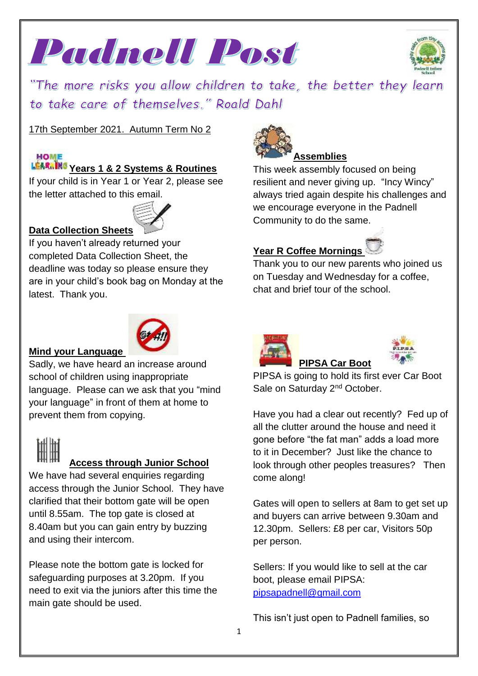



"The more risks you allow children to take, the better they learn to take care of themselves." Roald Dahl

17th September 2021. Autumn Term No 2

# **HOME**

# **Years 1 & 2 Systems & Routines**

If your child is in Year 1 or Year 2, please see the letter attached to this email.



#### **Data Collection Sheets**

If you haven't already returned your completed Data Collection Sheet, the deadline was today so please ensure they are in your child's book bag on Monday at the latest. Thank you.



#### **Mind your Language**

Sadly, we have heard an increase around school of children using inappropriate language. Please can we ask that you "mind your language" in front of them at home to prevent them from copying.

# **Access through Junior School**

We have had several enquiries regarding access through the Junior School. They have clarified that their bottom gate will be open until 8.55am. The top gate is closed at 8.40am but you can gain entry by buzzing and using their intercom.

Please note the bottom gate is locked for safeguarding purposes at 3.20pm. If you need to exit via the juniors after this time the main gate should be used.



# **Assemblies**

This week assembly focused on being resilient and never giving up. "Incy Wincy" always tried again despite his challenges and we encourage everyone in the Padnell Community to do the same.

## **Year R Coffee Mornings**

Thank you to our new parents who joined us on Tuesday and Wednesday for a coffee, chat and brief tour of the school.





PIPSA is going to hold its first ever Car Boot Sale on Saturday 2<sup>nd</sup> October.

**PIPSA Car Boot** 

Have you had a clear out recently? Fed up of all the clutter around the house and need it gone before "the fat man" adds a load more to it in December? Just like the chance to look through other peoples treasures? Then come along!

Gates will open to sellers at 8am to get set up and buyers can arrive between 9.30am and 12.30pm. Sellers: £8 per car, Visitors 50p per person.

Sellers: If you would like to sell at the car boot, please email PIPSA: [pipsapadnell@gmail.com](mailto:pipsapadnell@gmail.com)

This isn't just open to Padnell families, so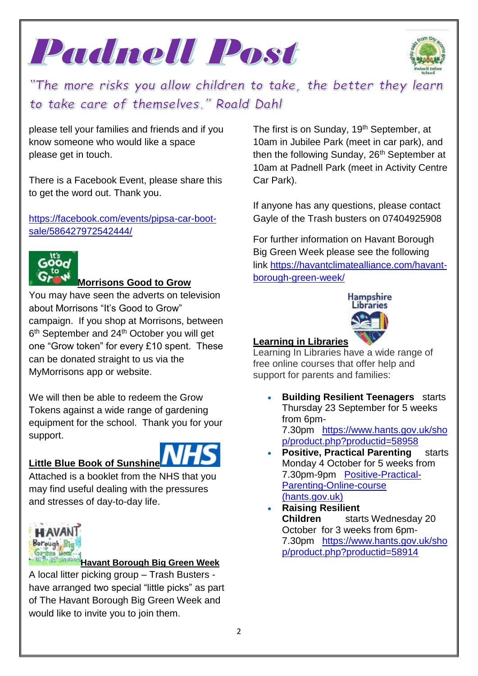



"The more risks you allow children to take, the better they learn to take care of themselves." Roald Dahl

please tell your families and friends and if you know someone who would like a space please get in touch.

There is a Facebook Event, please share this to get the word out. Thank you.

[https://facebook.com/events/pipsa-car-boot](https://facebook.com/events/pipsa-car-boot-sale/586427972542444/)[sale/586427972542444/](https://facebook.com/events/pipsa-car-boot-sale/586427972542444/)



#### **Morrisons Good to Grow**

You may have seen the adverts on television about Morrisons "It's Good to Grow" campaign. If you shop at Morrisons, between 6<sup>th</sup> September and 24<sup>th</sup> October you will get one "Grow token" for every £10 spent. These can be donated straight to us via the MyMorrisons app or website.

We will then be able to redeem the Grow Tokens against a wide range of gardening equipment for the school. Thank you for your support.

#### **Little Blue Book of Sunshine**



Attached is a booklet from the NHS that you may find useful dealing with the pressures and stresses of day-to-day life.



#### **Havant Borough Big Green Week**

A local litter picking group – Trash Busters have arranged two special "little picks" as part of The Havant Borough Big Green Week and would like to invite you to join them.

The first is on Sunday, 19<sup>th</sup> September, at 10am in Jubilee Park (meet in car park), and then the following Sunday, 26<sup>th</sup> September at 10am at Padnell Park (meet in Activity Centre Car Park).

If anyone has any questions, please contact Gayle of the Trash busters on 07404925908

For further information on Havant Borough Big Green Week please see the following link [https://havantclimatealliance.com/havant](https://l.facebook.com/l.php?u=https%3A%2F%2Fhavantclimatealliance.com%2Fhavant-borough-green-week%2F%3Ffbclid%3DIwAR0DCRIseHb4Rxyq5D3RUSVDr-7140nH8MWDqpbnAQmsfTqXCseOGi7ar0A&h=AT1Zc5kmKznd_gUkomf7aKcv4HxXXo9klE97or1vwoAYI4tv8rLY09EiNEgHk42sFGReNTyAP7Ti3ElVQE_-httDTHLByaHyn2wE6US-UOG7nE19eRXxKsMez7yhuQK1xe2t8iBkPSROTmy-DQ&__tn__=-UK-R&c%5b0%5d=AT2pyu3lNhzvMytanEj-4WELgDQm0SvngiT9UNN2JRS0BHTswOQ7QWm-kBUDdvsM2mzrGWmfjVSrUq10VmTvDsb7OUfEJSi8ni_TzWRUTNWVoGK7q7SVBi8mRQmHTGOdiCL3-QCxFg1fUx7zZIF-TloT3HT5ye0RQNY9jTv_zdPx32mgLFFt_JJQ59fZ0_Cy-r7ouSgKKc2mGnRybQ)[borough-green-week/](https://l.facebook.com/l.php?u=https%3A%2F%2Fhavantclimatealliance.com%2Fhavant-borough-green-week%2F%3Ffbclid%3DIwAR0DCRIseHb4Rxyq5D3RUSVDr-7140nH8MWDqpbnAQmsfTqXCseOGi7ar0A&h=AT1Zc5kmKznd_gUkomf7aKcv4HxXXo9klE97or1vwoAYI4tv8rLY09EiNEgHk42sFGReNTyAP7Ti3ElVQE_-httDTHLByaHyn2wE6US-UOG7nE19eRXxKsMez7yhuQK1xe2t8iBkPSROTmy-DQ&__tn__=-UK-R&c%5b0%5d=AT2pyu3lNhzvMytanEj-4WELgDQm0SvngiT9UNN2JRS0BHTswOQ7QWm-kBUDdvsM2mzrGWmfjVSrUq10VmTvDsb7OUfEJSi8ni_TzWRUTNWVoGK7q7SVBi8mRQmHTGOdiCL3-QCxFg1fUx7zZIF-TloT3HT5ye0RQNY9jTv_zdPx32mgLFFt_JJQ59fZ0_Cy-r7ouSgKKc2mGnRybQ)



### **Learning in Libraries**

Learning In Libraries have a wide range of free online courses that offer help and support for parents and families:

- **Building Resilient Teenagers** starts Thursday 23 September for 5 weeks from 6pm-7.30pm [https://www.hants.gov.uk/sho](https://www.hants.gov.uk/shop/product.php?productid=58958) [p/product.php?productid=58958](https://www.hants.gov.uk/shop/product.php?productid=58958)
- **Positive, Practical Parenting** starts Monday 4 October for 5 weeks from 7.30pm-9pm [Positive-Practical-](https://www.hants.gov.uk/shop/product.php?productid=58992)[Parenting-Online-course](https://www.hants.gov.uk/shop/product.php?productid=58992) [\(hants.gov.uk\)](https://www.hants.gov.uk/shop/product.php?productid=58992)
- **Raising Resilient Children** starts Wednesday 20 October for 3 weeks from 6pm-7.30pm [https://www.hants.gov.uk/sho](https://www.hants.gov.uk/shop/product.php?productid=58914) [p/product.php?productid=58914](https://www.hants.gov.uk/shop/product.php?productid=58914)